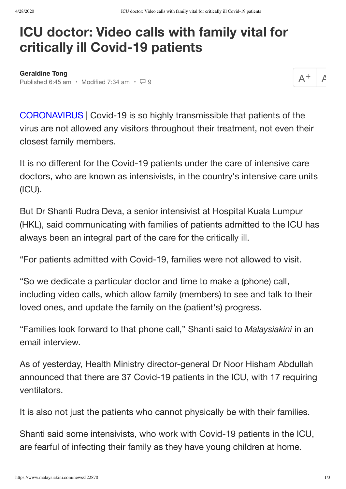## **ICU doctor: Video calls with family vital for critically ill Covid-19 patients**

**[Geraldine Tong](https://www.malaysiakini.com/a?language=en&q=Geraldine%20Tong)** Published 6:45 am · Modified 7:34 am ·  $\Box$  9

 $\overline{\mathcal{A}}$ 

CORONAVIRUS | Covid-19 is so highly transmissible that patients of the virus are not allowed any visitors throughout their treatment, not even their closest family members.

It is no different for the Covid-19 patients under the care of intensive care doctors, who are known as intensivists, in the country's intensive care units (ICU).

But Dr Shanti Rudra Deva, a senior intensivist at Hospital Kuala Lumpur (HKL), said communicating with families of patients admitted to the ICU has always been an integral part of the care for the critically ill.

"For patients admitted with Covid-19, families were not allowed to visit.

"So we dedicate a particular doctor and time to make a (phone) call, including video calls, which allow family (members) to see and talk to their loved ones, and update the family on the (patient's) progress.

"Families look forward to that phone call," Shanti said to *Malaysiakini* in an email interview.

As of yesterday, Health Ministry director-general Dr Noor Hisham Abdullah announced that there are 37 Covid-19 patients in the ICU, with 17 requiring ventilators.

It is also not just the patients who cannot physically be with their families.

Shanti said some intensivists, who work with Covid-19 patients in the ICU, are fearful of infecting their family as they have young children at home.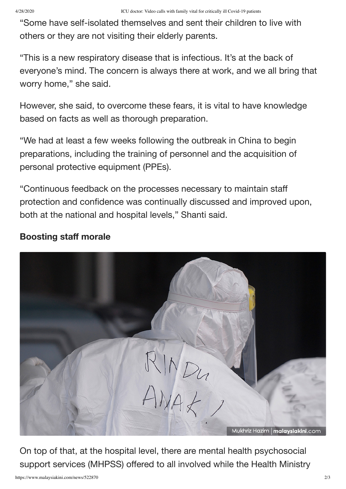"Some have self-isolated themselves and sent their children to live with others or they are not visiting their elderly parents.

"This is a new respiratory disease that is infectious. It's at the back of everyone's mind. The concern is always there at work, and we all bring that worry home," she said.

However, she said, to overcome these fears, it is vital to have knowledge based on facts as well as thorough preparation.

"We had at least a few weeks following the outbreak in China to begin preparations, including the training of personnel and the acquisition of personal protective equipment (PPEs).

"Continuous feedback on the processes necessary to maintain staff protection and confidence was continually discussed and improved upon, both at the national and hospital levels," Shanti said.

## **Boosting staff morale**



On top of that, at the hospital level, there are mental health psychosocial support services (MHPSS) offered to all involved while the Health Ministry